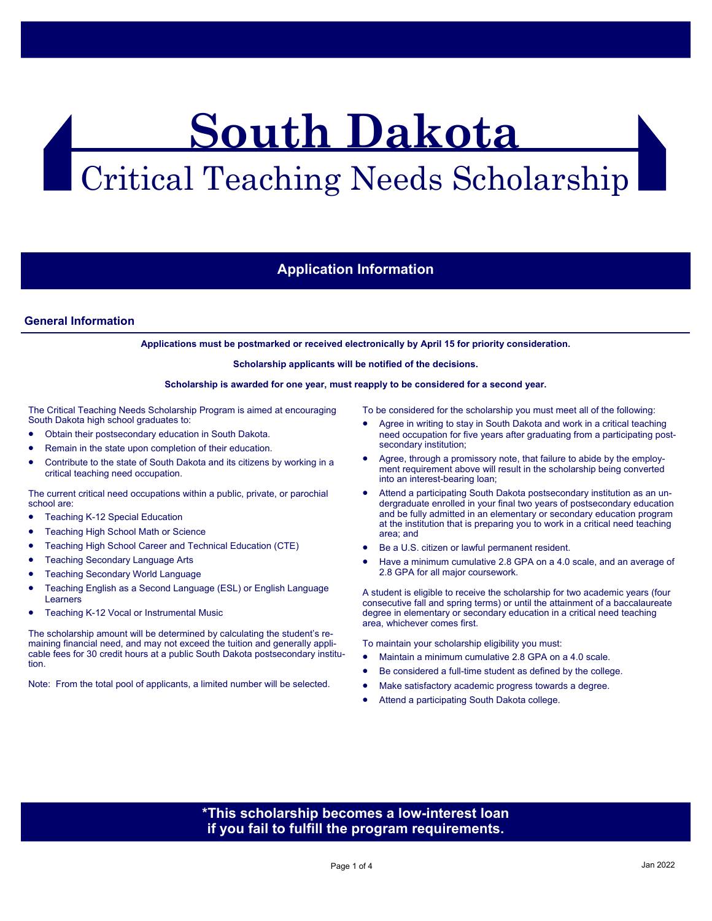# **South Dakota**  Critical Teaching Needs Scholarship

## **Application Information**

## **General Information**

**Applications must be postmarked or received electronically by April 15 for priority consideration.** 

**Scholarship applicants will be notified of the decisions.** 

#### **Scholarship is awarded for one year, must reapply to be considered for a second year.**

The Critical Teaching Needs Scholarship Program is aimed at encouraging South Dakota high school graduates to:

- Obtain their postsecondary education in South Dakota.
- Remain in the state upon completion of their education.
- Contribute to the state of South Dakota and its citizens by working in a critical teaching need occupation.

The current critical need occupations within a public, private, or parochial school are:

- Teaching K-12 Special Education
- Teaching High School Math or Science
- Teaching High School Career and Technical Education (CTE)
- Teaching Secondary Language Arts
- Teaching Secondary World Language
- Teaching English as a Second Language (ESL) or English Language Learners
- Teaching K-12 Vocal or Instrumental Music

The scholarship amount will be determined by calculating the student's remaining financial need, and may not exceed the tuition and generally applicable fees for 30 credit hours at a public South Dakota postsecondary institution.

Note: From the total pool of applicants, a limited number will be selected.

To be considered for the scholarship you must meet all of the following:

- Agree in writing to stay in South Dakota and work in a critical teaching need occupation for five years after graduating from a participating postsecondary institution;
- Agree, through a promissory note, that failure to abide by the employment requirement above will result in the scholarship being converted into an interest-bearing loan;
- Attend a participating South Dakota postsecondary institution as an undergraduate enrolled in your final two years of postsecondary education and be fully admitted in an elementary or secondary education program at the institution that is preparing you to work in a critical need teaching area; and
- Be a U.S. citizen or lawful permanent resident.
- Have a minimum cumulative 2.8 GPA on a 4.0 scale, and an average of 2.8 GPA for all major coursework.

A student is eligible to receive the scholarship for two academic years (four consecutive fall and spring terms) or until the attainment of a baccalaureate degree in elementary or secondary education in a critical need teaching area, whichever comes first.

To maintain your scholarship eligibility you must:

- Maintain a minimum cumulative 2.8 GPA on a 4.0 scale.
- Be considered a full-time student as defined by the college.
- Make satisfactory academic progress towards a degree.
- Attend a participating South Dakota college.

## **\*This scholarship becomes a low-interest loan if you fail to fulfill the program requirements.**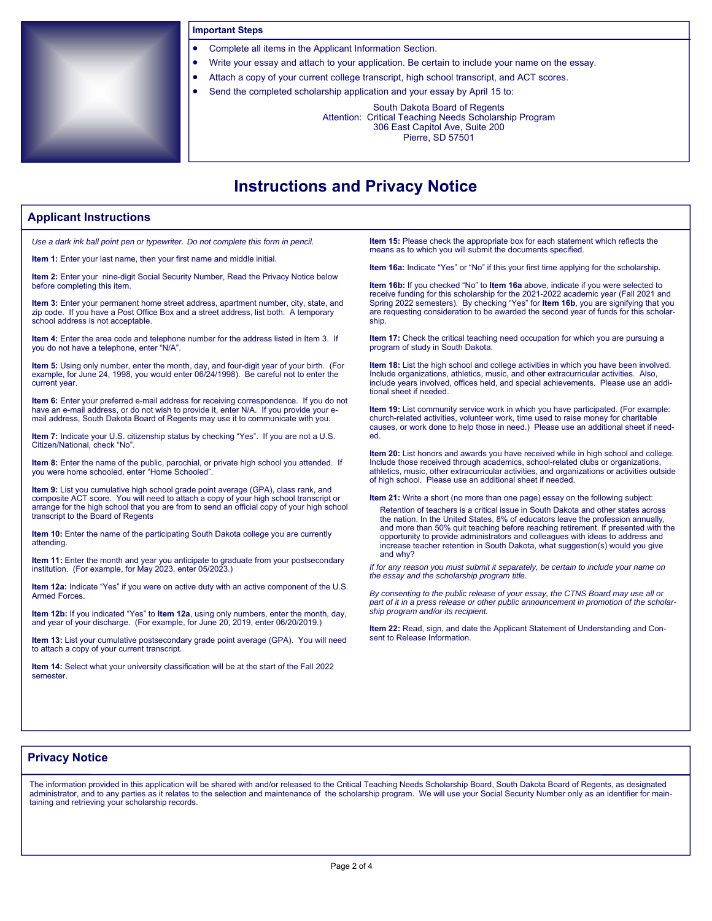

#### **Important Steps**

- Complete all items in the Applicant Information Section.
- Write your essay and attach to your application. Be certain to include your name on the essay.
- Attach a copy of your current college transcript, high school transcript, and ACT scores.
	- Send the completed scholarship application and your essay by April 15 to:

South Dakota Board of Regents Attention: Critical Teaching Needs Scholarship Program 306 East Capitol Ave, Suite 200

Pierre, SD 57501

## **Instructions and Privacy Notice**

### **Applicant Instructions**

*Use a dark ink ball point pen or typewriter. Do not complete this form in pencil.*

**Item 1:** Enter your last name, then your first name and middle initial.

**Item 2:** Enter your nine-digit Social Security Number, Read the Privacy Notice below before completing this item.

**Item 3:** Enter your permanent home street address, apartment number, city, state, and zip code. If you have a Post Office Box and a street address, list both. A temporary school address is not acceptable.

**Item 4:** Enter the area code and telephone number for the address listed in Item 3. If you do not have a telephone, enter "N/A".

**Item 5:** Using only number, enter the month, day, and four-digit year of your birth. (For example, for June 24, 1998, you would enter 06/24/1998). Be careful not to enter the current year.

**Item 6:** Enter your preferred e-mail address for receiving correspondence. If you do not have an e-mail address, or do not wish to provide it, enter N/A. If you provide your email address, South Dakota Board of Regents may use it to communicate with you.

**Item 7:** Indicate your U.S. citizenship status by checking "Yes". If you are not a U.S. Citizen/National, check "No".

**Item 8:** Enter the name of the public, parochial, or private high school you attended. If you were home schooled, enter "Home Schooled".

**Item 9:** List you cumulative high school grade point average (GPA), class rank, and composite ACT score. You will need to attach a copy of your high school transcript or arrange for the high school that you are from to send an official copy of your high school transcript to the Board of Regents

**Item 10:** Enter the name of the participating South Dakota college you are currently attending.

**Item 11:** Enter the month and year you anticipate to graduate from your postsecondary institution. (For example, for May 2023, enter 05/2023.)

**Item 12a:** Indicate "Yes" if you were on active duty with an active component of the U.S. Armed Forces.

**Item 12b:** If you indicated "Yes" to **Item 12a**, using only numbers, enter the month, day, and year of your discharge. (For example, for June 20, 2019, enter 06/20/2019.)

**Item 13:** List your cumulative postsecondary grade point average (GPA). You will need to attach a copy of your current transcript.

**Item 14:** Select what your university classification will be at the start of the Fall 2022 semester.

**Item 15:** Please check the appropriate box for each statement which reflects the means as to which you will submit the documents specified.

**Item 16a:** Indicate "Yes" or "No" if this your first time applying for the scholarship.

**Item 16b:** If you checked "No" to **Item 16a** above, indicate if you were selected to receive funding for this scholarship for the 2021-2022 academic year (Fall 2021 and Spring 2022 semesters). By checking "Yes" for **Item 16b**, you are signifying that you are requesting consideration to be awarded the second year of funds for this scholarship.

**Item 17:** Check the critical teaching need occupation for which you are pursuing a program of study in South Dakota.

**Item 18:** List the high school and college activities in which you have been involved. Include organizations, athletics, music, and other extracurricular activities. Also, include years involved, offices held, and special achievements. Please use an additional sheet if needed.

**Item 19:** List community service work in which you have participated. (For example: church-related activities, volunteer work, time used to raise money for charitable causes, or work done to help those in need.) Please use an additional sheet if needed.

**Item 20:** List honors and awards you have received while in high school and college. Include those received through academics, school-related clubs or organizations, athletics, music, other extracurricular activities, and organizations or activities outside of high school. Please use an additional sheet if needed.

**Item 21:** Write a short (no more than one page) essay on the following subject:

Retention of teachers is a critical issue in South Dakota and other states across the nation. In the United States, 8% of educators leave the profession annually, and more than 50% quit teaching before reaching retirement. If presented with the opportunity to provide administrators and colleagues with ideas to address and increase teacher retention in South Dakota, what suggestion(s) would you give and why?

*If for any reason you must submit it separately, be certain to include your name on the essay and the scholarship program title.* 

*By consenting to the public release of your essay, the CTNS Board may use all or part of it in a press release or other public announcement in promotion of the scholarship program and/or its recipient.*

**Item 22:** Read, sign, and date the Applicant Statement of Understanding and Consent to Release Information.

## **Privacy Notice**

The information provided in this application will be shared with and/or released to the Critical Teaching Needs Scholarship Board, South Dakota Board of Regents, as designated administrator, and to any parties as it relates to the selection and maintenance of the scholarship program. We will use your Social Security Number only as an identifier for maintaining and retrieving your scholarship records.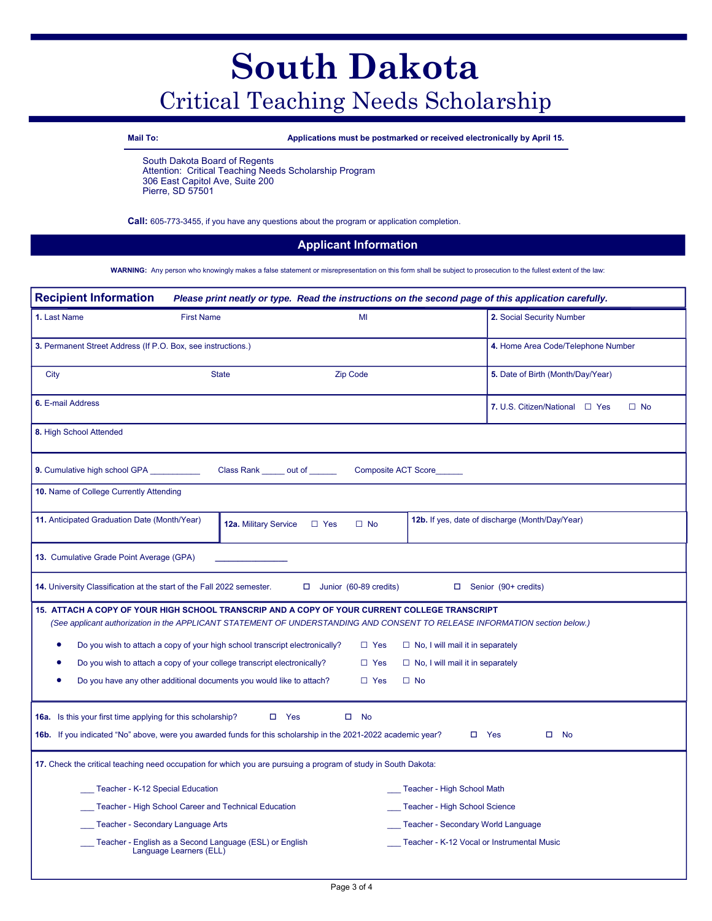## **South Dakota**  Critical Teaching Needs Scholarship

**Mail To: Applications must be postmarked or received electronically by April 15.**

South Dakota Board of Regents Attention: Critical Teaching Needs Scholarship Program 306 East Capitol Ave, Suite 200 Pierre, SD 57501

**Call:** 605-773-3455, if you have any questions about the program or application completion.

## **Applicant Information**

**WARNING:** Any person who knowingly makes a false statement or misrepresentation on this form shall be subject to prosecution to the fullest extent of the law:

| <b>Recipient Information</b><br>Please print neatly or type. Read the instructions on the second page of this application carefully.                                                                                         |                                                                                                                |                                  |                                            |                                                        |  |
|------------------------------------------------------------------------------------------------------------------------------------------------------------------------------------------------------------------------------|----------------------------------------------------------------------------------------------------------------|----------------------------------|--------------------------------------------|--------------------------------------------------------|--|
| 1. Last Name                                                                                                                                                                                                                 | <b>First Name</b>                                                                                              | MI                               |                                            | 2. Social Security Number                              |  |
| 3. Permanent Street Address (If P.O. Box, see instructions.)                                                                                                                                                                 |                                                                                                                |                                  |                                            | 4. Home Area Code/Telephone Number                     |  |
| City                                                                                                                                                                                                                         | <b>State</b>                                                                                                   | <b>Zip Code</b>                  |                                            | 5. Date of Birth (Month/Day/Year)                      |  |
| 6. E-mail Address                                                                                                                                                                                                            |                                                                                                                |                                  |                                            | 7. U.S. Citizen/National $\Box$ Yes<br>$\Box$ No       |  |
| 8. High School Attended                                                                                                                                                                                                      |                                                                                                                |                                  |                                            |                                                        |  |
| 9. Cumulative high school GPA                                                                                                                                                                                                | Class Rank ______ out of ______                                                                                |                                  | Composite ACT Score                        |                                                        |  |
| 10. Name of College Currently Attending                                                                                                                                                                                      |                                                                                                                |                                  |                                            |                                                        |  |
| 11. Anticipated Graduation Date (Month/Year)                                                                                                                                                                                 | 12a. Military Service                                                                                          | $\Box$ Yes<br>$\Box$ No          |                                            | <b>12b.</b> If yes, date of discharge (Month/Day/Year) |  |
| 13. Cumulative Grade Point Average (GPA)                                                                                                                                                                                     |                                                                                                                |                                  |                                            |                                                        |  |
|                                                                                                                                                                                                                              | 14. University Classification at the start of the Fall 2022 semester.                                          | Junior (60-89 credits)<br>$\Box$ | $\Box$                                     | Senior (90+ credits)                                   |  |
| 15. ATTACH A COPY OF YOUR HIGH SCHOOL TRANSCRIP AND A COPY OF YOUR CURRENT COLLEGE TRANSCRIPT<br>(See applicant authorization in the APPLICANT STATEMENT OF UNDERSTANDING AND CONSENT TO RELEASE INFORMATION section below.) |                                                                                                                |                                  |                                            |                                                        |  |
| ٠                                                                                                                                                                                                                            | Do you wish to attach a copy of your high school transcript electronically?                                    | $\Box$ Yes                       | $\Box$ No, I will mail it in separately    |                                                        |  |
|                                                                                                                                                                                                                              | Do you wish to attach a copy of your college transcript electronically?                                        | $\Box$ Yes                       | $\Box$ No, I will mail it in separately    |                                                        |  |
| ٠                                                                                                                                                                                                                            | Do you have any other additional documents you would like to attach?                                           | $\Box$ Yes                       | $\Box$ No                                  |                                                        |  |
| 16a. Is this your first time applying for this scholarship?                                                                                                                                                                  |                                                                                                                | $\square$ Yes<br>$\square$ No    |                                            |                                                        |  |
|                                                                                                                                                                                                                              | 16b. If you indicated "No" above, were you awarded funds for this scholarship in the 2021-2022 academic year?  |                                  |                                            | $\square$ Yes<br>$\Box$<br>No                          |  |
|                                                                                                                                                                                                                              | 17. Check the critical teaching need occupation for which you are pursuing a program of study in South Dakota: |                                  |                                            |                                                        |  |
|                                                                                                                                                                                                                              | Teacher - K-12 Special Education                                                                               |                                  | Teacher - High School Math                 |                                                        |  |
|                                                                                                                                                                                                                              | Teacher - High School Career and Technical Education                                                           |                                  | Teacher - High School Science              |                                                        |  |
|                                                                                                                                                                                                                              | Teacher - Secondary Language Arts                                                                              |                                  | Teacher - Secondary World Language         |                                                        |  |
|                                                                                                                                                                                                                              | Teacher - English as a Second Language (ESL) or English<br>Language Learners (ELL)                             |                                  | Teacher - K-12 Vocal or Instrumental Music |                                                        |  |